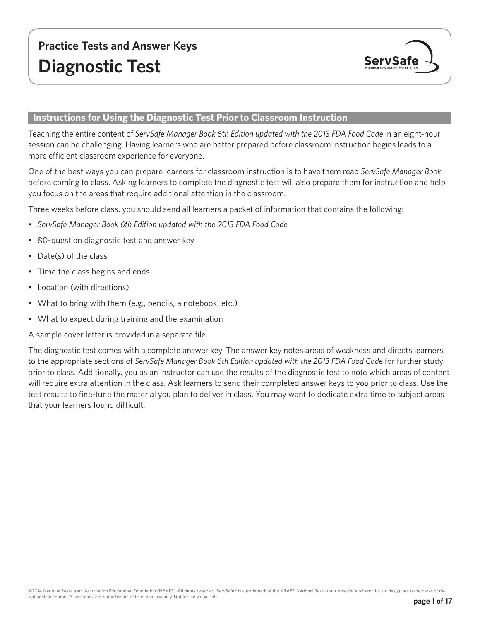

## **Instructions for Using the Diagnostic Test Prior to Classroom Instruction**

Teaching the entire content of *ServSafe Manager Book 6th Edition updated with the 2013 FDA Food Code* in an eight-hour session can be challenging. Having learners who are better prepared before classroom instruction begins leads to a more efficient classroom experience for everyone.

One of the best ways you can prepare learners for classroom instruction is to have them read *ServSafe Manager Book* before coming to class. Asking learners to complete the diagnostic test will also prepare them for instruction and help you focus on the areas that require additional attention in the classroom.

Three weeks before class, you should send all learners a packet of information that contains the following:

- *• ServSafe Manager Book 6th Edition updated with the 2013 FDA Food Code*
- 80-question diagnostic test and answer key
- Date(s) of the class
- Time the class begins and ends
- Location (with directions)
- What to bring with them (e.g., pencils, a notebook, etc.)
- What to expect during training and the examination

A sample cover letter is provided in a separate file.

The diagnostic test comes with a complete answer key. The answer key notes areas of weakness and directs learners to the appropriate sections of *ServSafe Manager Book 6th Edition updated with the 2013 FDA Food Code* for further study prior to class. Additionally, you as an instructor can use the results of the diagnostic test to note which areas of content will require extra attention in the class. Ask learners to send their completed answer keys to you prior to class. Use the test results to fine-tune the material you plan to deliver in class. You may want to dedicate extra time to subject areas that your learners found difficult.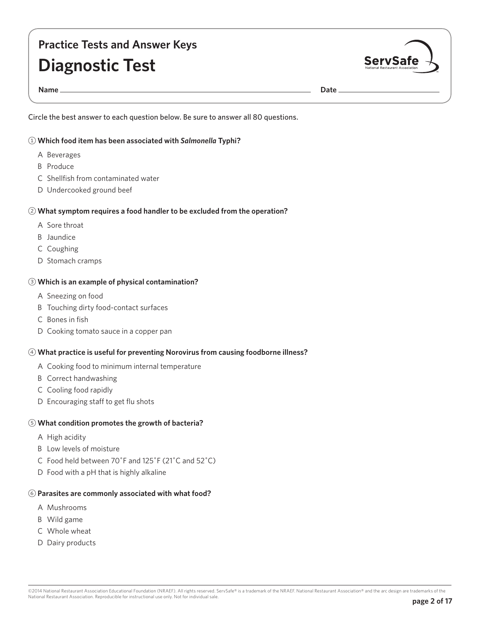# **Practice Tests and Answer Keys Diagnostic Test**



**Name Date** 

Circle the best answer to each question below. Be sure to answer all 80 questions.

## 1 **Which food item has been associated with** *Salmonella* **Typhi?**

- A Beverages
- B Produce
- C Shellfish from contaminated water
- D Undercooked ground beef

## 2 **What symptom requires a food handler to be excluded from the operation?**

- A Sore throat
- B Jaundice
- C Coughing
- D Stomach cramps

## 3 **Which is an example of physical contamination?**

- A Sneezing on food
- B Touching dirty food-contact surfaces
- C Bones in fish
- D Cooking tomato sauce in a copper pan

## 4 **What practice is useful for preventing Norovirus from causing foodborne illness?**

- A Cooking food to minimum internal temperature
- B Correct handwashing
- C Cooling food rapidly
- D Encouraging staff to get flu shots

## 5 **What condition promotes the growth of bacteria?**

- A High acidity
- B Low levels of moisture
- C Food held between 70˚F and 125˚F (21˚C and 52˚C)
- D Food with a pH that is highly alkaline

## 6 **Parasites are commonly associated with what food?**

- A Mushrooms
- B Wild game
- C Whole wheat
- D Dairy products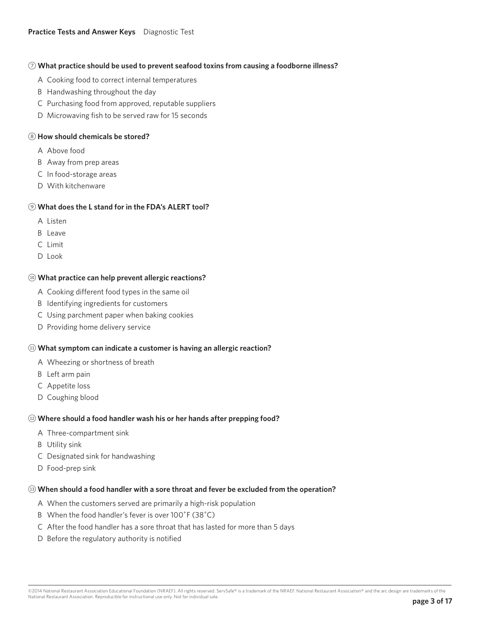### **Practice Tests and Answer Keys** Diagnostic Test

#### 7 **What practice should be used to prevent seafood toxins from causing a foodborne illness?**

- A Cooking food to correct internal temperatures
- B Handwashing throughout the day
- C Purchasing food from approved, reputable suppliers
- D Microwaving fish to be served raw for 15 seconds

### 8 **How should chemicals be stored?**

- A Above food
- B Away from prep areas
- C In food-storage areas
- D With kitchenware

## 9 **What does the L stand for in the FDA's ALERT tool?**

- A Listen
- B Leave
- C Limit
- D Look

#### !0 **What practice can help prevent allergic reactions?**

- A Cooking different food types in the same oil
- B Identifying ingredients for customers
- C Using parchment paper when baking cookies
- D Providing home delivery service

#### !1 **What symptom can indicate a customer is having an allergic reaction?**

- A Wheezing or shortness of breath
- B Left arm pain
- C Appetite loss
- D Coughing blood

#### !2 **Where should a food handler wash his or her hands after prepping food?**

- A Three-compartment sink
- B Utility sink
- C Designated sink for handwashing
- D Food-prep sink

#### !3 **When should a food handler with a sore throat and fever be excluded from the operation?**

- A When the customers served are primarily a high-risk population
- B When the food handler's fever is over 100˚F (38˚C)
- C After the food handler has a sore throat that has lasted for more than 5 days
- D Before the regulatory authority is notified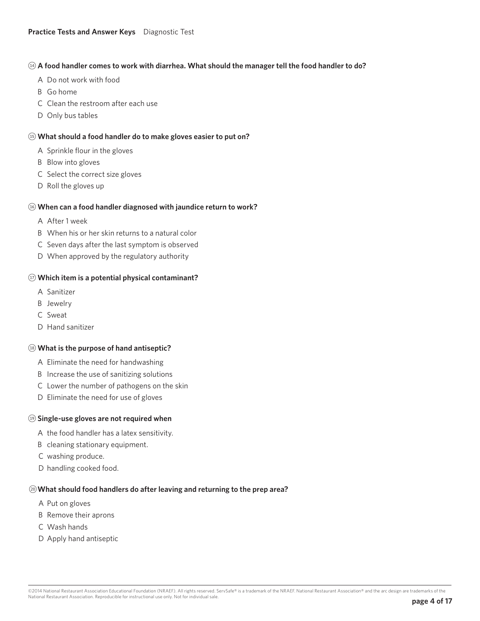## !4 **A food handler comes to work with diarrhea. What should the manager tell the food handler to do?**

- A Do not work with food
- B Go home
- C Clean the restroom after each use
- D Only bus tables

## !5 **What should a food handler do to make gloves easier to put on?**

- A Sprinkle flour in the gloves
- B Blow into gloves
- C Select the correct size gloves
- D Roll the gloves up

### !6 **When can a food handler diagnosed with jaundice return to work?**

- A After 1 week
- B When his or her skin returns to a natural color
- C Seven days after the last symptom is observed
- D When approved by the regulatory authority

### !7 **Which item is a potential physical contaminant?**

- A Sanitizer
- B Jewelry
- C Sweat
- D Hand sanitizer

#### !8 **What is the purpose of hand antiseptic?**

- A Eliminate the need for handwashing
- B Increase the use of sanitizing solutions
- C Lower the number of pathogens on the skin
- D Eliminate the need for use of gloves

#### !9 **Single-use gloves are not required when**

- A the food handler has a latex sensitivity.
- B cleaning stationary equipment.
- C washing produce.
- D handling cooked food.

#### @0**What should food handlers do after leaving and returning to the prep area?**

- A Put on gloves
- B Remove their aprons
- C Wash hands
- D Apply hand antiseptic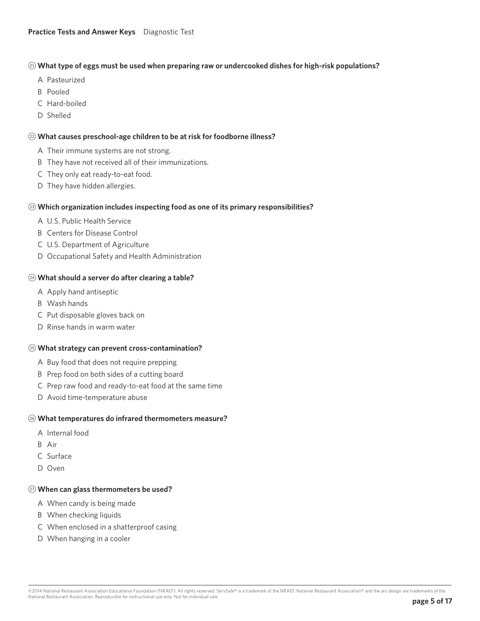### @1 **What type of eggs must be used when preparing raw or undercooked dishes for high-risk populations?**

- A Pasteurized
- B Pooled
- C Hard-boiled
- D Shelled

## @2 **What causes preschool-age children to be at risk for foodborne illness?**

- A Their immune systems are not strong.
- B They have not received all of their immunizations.
- C They only eat ready-to-eat food.
- D They have hidden allergies.

### @3 **Which organization includes inspecting food as one of its primary responsibilities?**

- A U.S. Public Health Service
- B Centers for Disease Control
- C U.S. Department of Agriculture
- D Occupational Safety and Health Administration

### @4 **What should a server do after clearing a table?**

- A Apply hand antiseptic
- B Wash hands
- C Put disposable gloves back on
- D Rinse hands in warm water

#### @5 **What strategy can prevent cross-contamination?**

- A Buy food that does not require prepping
- B Prep food on both sides of a cutting board
- C Prep raw food and ready-to-eat food at the same time
- D Avoid time-temperature abuse

#### @6 **What temperatures do infrared thermometers measure?**

- A Internal food
- B Air
- C Surface
- D Oven

## @7 **When can glass thermometers be used?**

- A When candy is being made
- B When checking liquids
- C When enclosed in a shatterproof casing
- D When hanging in a cooler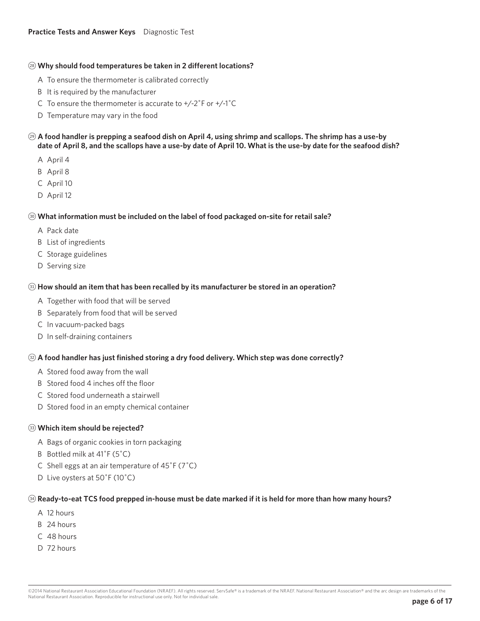#### @8 **Why should food temperatures be taken in 2 different locations?**

- A To ensure the thermometer is calibrated correctly
- B It is required by the manufacturer
- C To ensure the thermometer is accurate to  $+/-2$ °F or  $+/-1$ °C
- D Temperature may vary in the food
- @9 **A food handler is prepping a seafood dish on April 4, using shrimp and scallops. The shrimp has a use-by date of April 8, and the scallops have a use-by date of April 10. What is the use-by date for the seafood dish?**
	- A April 4
	- B April 8
	- C April 10
	- D April 12

### $\circledcirc$  **What information must be included on the label of food packaged on-site for retail sale?**

- A Pack date
- B List of ingredients
- C Storage guidelines
- D Serving size

### $\circledR$  **How should an item that has been recalled by its manufacturer be stored in an operation?**

- A Together with food that will be served
- B Separately from food that will be served
- C In vacuum-packed bags
- D In self-draining containers

## $\circledR$  **A food handler has just finished storing a dry food delivery. Which step was done correctly?**

- A Stored food away from the wall
- B Stored food 4 inches off the floor
- C Stored food underneath a stairwell
- D Stored food in an empty chemical container

#### <sup>33</sup> Which item should be rejected?

- A Bags of organic cookies in torn packaging
- B Bottled milk at 41˚F (5˚C)
- C Shell eggs at an air temperature of 45˚F (7˚C)
- D Live oysters at 50˚F (10˚C)

#### $\circledast$  Ready-to-eat TCS food prepped in-house must be date marked if it is held for more than how many hours?

- A 12 hours
- B 24 hours
- C 48 hours
- D 72 hours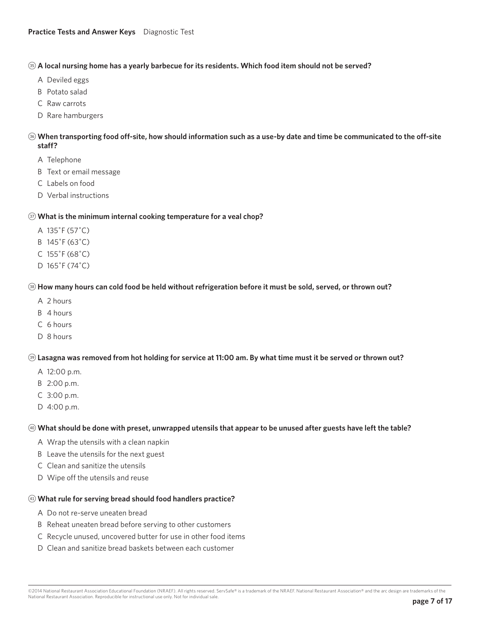## **(3)** A local nursing home has a yearly barbecue for its residents. Which food item should not be served?

- A Deviled eggs
- B Potato salad
- C Raw carrots
- D Rare hamburgers

## $\circledast$  **When transporting food off-site, how should information such as a use-by date and time be communicated to the off-site staff?**

- A Telephone
- B Text or email message
- C Labels on food
- D Verbal instructions

## $\circled{r}$  What is the minimum internal cooking temperature for a veal chop?

- A 135˚F (57˚C)
- B 145˚F (63˚C)
- C 155˚F (68˚C)
- D 165˚F (74˚C)

## <sup>38</sup> How many hours can cold food be held without refrigeration before it must be sold, served, or thrown out?

- A 2 hours
- B 4 hours
- C 6 hours
- D 8 hours

## $\circledast$  Lasagna was removed from hot holding for service at 11:00 am. By what time must it be served or thrown out?

- A 12:00 p.m.
- B 2:00 p.m.
- C 3:00 p.m.
- D 4:00 p.m.

## \$0 **What should be done with preset, unwrapped utensils that appear to be unused after guests have left the table?**

- A Wrap the utensils with a clean napkin
- B Leave the utensils for the next guest
- C Clean and sanitize the utensils
- D Wipe off the utensils and reuse

## \$1 **What rule for serving bread should food handlers practice?**

- A Do not re-serve uneaten bread
- B Reheat uneaten bread before serving to other customers
- C Recycle unused, uncovered butter for use in other food items
- D Clean and sanitize bread baskets between each customer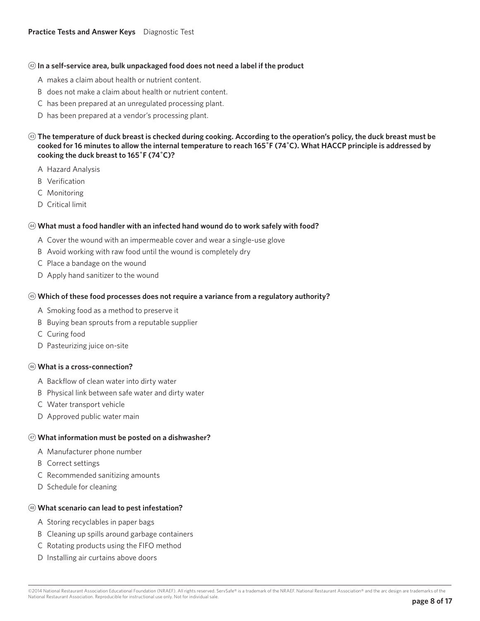#### $\circledast$  In a self-service area, bulk unpackaged food does not need a label if the product

- A makes a claim about health or nutrient content.
- B does not make a claim about health or nutrient content.
- C has been prepared at an unregulated processing plant.
- D has been prepared at a vendor's processing plant.
- **<sup>43</sup> The temperature of duck breast is checked during cooking. According to the operation's policy, the duck breast must be cooked for 16 minutes to allow the internal temperature to reach 165˚F (74˚C). What HACCP principle is addressed by cooking the duck breast to 165˚F (74˚C)?**
	- A Hazard Analysis
	- B Verification
	- C Monitoring
	- D Critical limit

### $49$  What must a food handler with an infected hand wound do to work safely with food?

- A Cover the wound with an impermeable cover and wear a single-use glove
- B Avoid working with raw food until the wound is completely dry
- C Place a bandage on the wound
- D Apply hand sanitizer to the wound

### $\circledast$  **Which of these food processes does not require a variance from a regulatory authority?**

- A Smoking food as a method to preserve it
- B Buying bean sprouts from a reputable supplier
- C Curing food
- D Pasteurizing juice on-site

## $(46)$  What is a cross-connection?

- A Backflow of clean water into dirty water
- B Physical link between safe water and dirty water
- C Water transport vehicle
- D Approved public water main

## \$7 **What information must be posted on a dishwasher?**

- A Manufacturer phone number
- B Correct settings
- C Recommended sanitizing amounts
- D Schedule for cleaning

## $(48)$  What scenario can lead to pest infestation?

- A Storing recyclables in paper bags
- B Cleaning up spills around garbage containers
- C Rotating products using the FIFO method
- D Installing air curtains above doors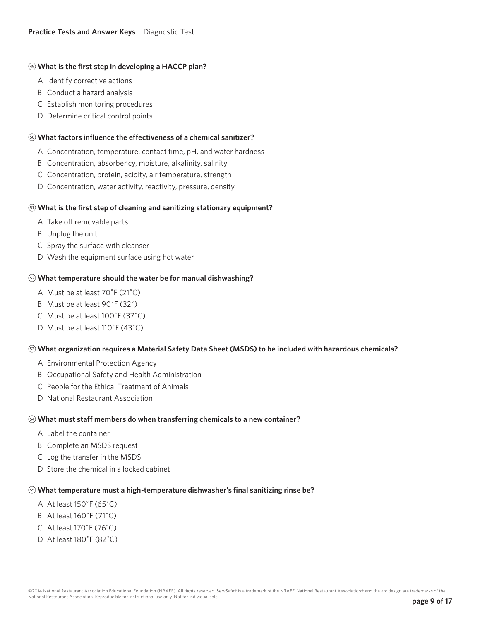## <sup>49</sup> What is the first step in developing a HACCP plan?

- A Identify corrective actions
- B Conduct a hazard analysis
- C Establish monitoring procedures
- D Determine critical control points

### %0 **What factors influence the effectiveness of a chemical sanitizer?**

- A Concentration, temperature, contact time, pH, and water hardness
- B Concentration, absorbency, moisture, alkalinity, salinity
- C Concentration, protein, acidity, air temperature, strength
- D Concentration, water activity, reactivity, pressure, density

### %1 **What is the first step of cleaning and sanitizing stationary equipment?**

- A Take off removable parts
- B Unplug the unit
- C Spray the surface with cleanser
- D Wash the equipment surface using hot water

### %2 **What temperature should the water be for manual dishwashing?**

- A Must be at least 70˚F (21˚C)
- B Must be at least 90˚F (32˚)
- C Must be at least 100˚F (37˚C)
- D Must be at least 110˚F (43˚C)

#### %3 **What organization requires a Material Safety Data Sheet (MSDS) to be included with hazardous chemicals?**

- A Environmental Protection Agency
- B Occupational Safety and Health Administration
- C People for the Ethical Treatment of Animals
- D National Restaurant Association

#### %4 **What must staff members do when transferring chemicals to a new container?**

- A Label the container
- B Complete an MSDS request
- C Log the transfer in the MSDS
- D Store the chemical in a locked cabinet

## %5 **What temperature must a high-temperature dishwasher's final sanitizing rinse be?**

- A At least 150˚F (65˚C)
- B At least 160˚F (71˚C)
- C At least 170˚F (76˚C)
- D At least 180˚F (82˚C)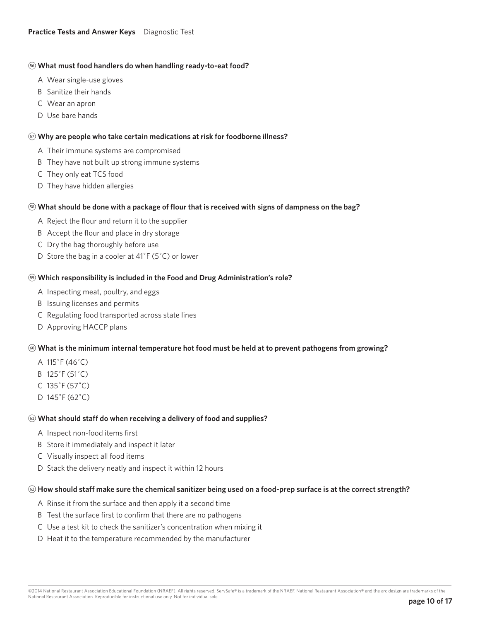### %6 **What must food handlers do when handling ready-to-eat food?**

- A Wear single-use gloves
- B Sanitize their hands
- C Wear an apron
- D Use bare hands

### %7 **Why are people who take certain medications at risk for foodborne illness?**

- A Their immune systems are compromised
- B They have not built up strong immune systems
- C They only eat TCS food
- D They have hidden allergies

### %8 **What should be done with a package of flour that is received with signs of dampness on the bag?**

- A Reject the flour and return it to the supplier
- B Accept the flour and place in dry storage
- C Dry the bag thoroughly before use
- D Store the bag in a cooler at 41˚F (5˚C) or lower

### %9 **Which responsibility is included in the Food and Drug Administration's role?**

- A Inspecting meat, poultry, and eggs
- B Issuing licenses and permits
- C Regulating food transported across state lines
- D Approving HACCP plans

#### ^0 **What is the minimum internal temperature hot food must be held at to prevent pathogens from growing?**

- A 115˚F (46˚C)
- B 125˚F (51˚C)
- C 135˚F (57˚C)
- D 145˚F (62˚C)

## ^1 **What should staff do when receiving a delivery of food and supplies?**

- A Inspect non-food items first
- B Store it immediately and inspect it later
- C Visually inspect all food items
- D Stack the delivery neatly and inspect it within 12 hours

## ^2 **How should staff make sure the chemical sanitizer being used on a food-prep surface is at the correct strength?**

- A Rinse it from the surface and then apply it a second time
- B Test the surface first to confirm that there are no pathogens
- C Use a test kit to check the sanitizer's concentration when mixing it
- D Heat it to the temperature recommended by the manufacturer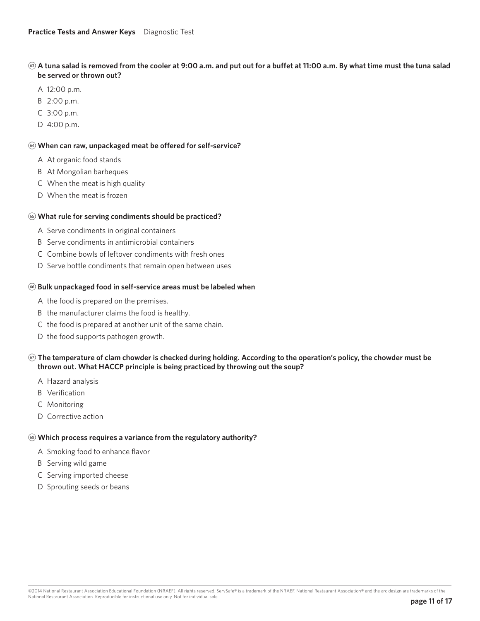## ^3 **A tuna salad is removed from the cooler at 9:00 a.m. and put out for a buffet at 11:00 a.m. By what time must the tuna salad be served or thrown out?**

- A 12:00 p.m.
- B 2:00 p.m.
- C 3:00 p.m.
- D 4:00 p.m.

## ^4 **When can raw, unpackaged meat be offered for self-service?**

- A At organic food stands
- B At Mongolian barbeques
- C When the meat is high quality
- D When the meat is frozen

## ^5 **What rule for serving condiments should be practiced?**

- A Serve condiments in original containers
- B Serve condiments in antimicrobial containers
- C Combine bowls of leftover condiments with fresh ones
- D Serve bottle condiments that remain open between uses

## ^6 **Bulk unpackaged food in self-service areas must be labeled when**

- A the food is prepared on the premises.
- B the manufacturer claims the food is healthy.
- C the food is prepared at another unit of the same chain.
- D the food supports pathogen growth.

## ^7 **The temperature of clam chowder is checked during holding. According to the operation's policy, the chowder must be thrown out. What HACCP principle is being practiced by throwing out the soup?**

- A Hazard analysis
- B Verification
- C Monitoring
- D Corrective action

## ^8 **Which process requires a variance from the regulatory authority?**

- A Smoking food to enhance flavor
- B Serving wild game
- C Serving imported cheese
- D Sprouting seeds or beans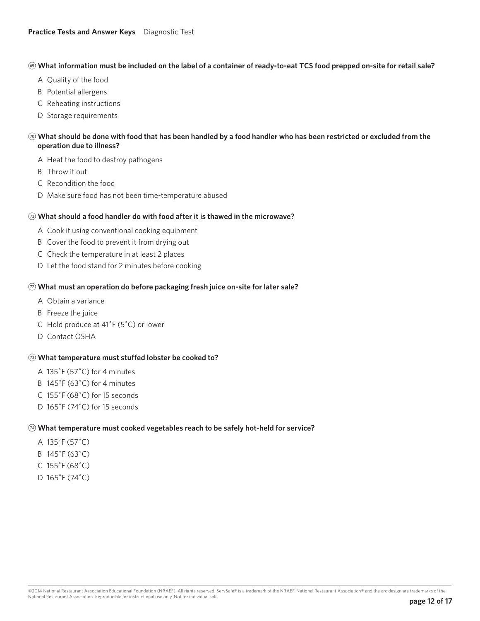#### ^9 **What information must be included on the label of a container of ready-to-eat TCS food prepped on-site for retail sale?**

- A Quality of the food
- B Potential allergens
- C Reheating instructions
- D Storage requirements

## $\circledcirc$  What should be done with food that has been handled by a food handler who has been restricted or excluded from the **operation due to illness?**

- A Heat the food to destroy pathogens
- B Throw it out
- C Recondition the food
- D Make sure food has not been time-temperature abused

### &1 **What should a food handler do with food after it is thawed in the microwave?**

- A Cook it using conventional cooking equipment
- B Cover the food to prevent it from drying out
- C Check the temperature in at least 2 places
- D Let the food stand for 2 minutes before cooking

### &2 **What must an operation do before packaging fresh juice on-site for later sale?**

- A Obtain a variance
- B Freeze the juice
- C Hold produce at 41˚F (5˚C) or lower
- D Contact OSHA

## &3 **What temperature must stuffed lobster be cooked to?**

- A 135˚F (57˚C) for 4 minutes
- B 145˚F (63˚C) for 4 minutes
- C 155˚F (68˚C) for 15 seconds
- D 165˚F (74˚C) for 15 seconds

#### &4 **What temperature must cooked vegetables reach to be safely hot-held for service?**

- A 135˚F (57˚C)
- B 145˚F (63˚C)
- C 155˚F (68˚C)
- D 165˚F (74˚C)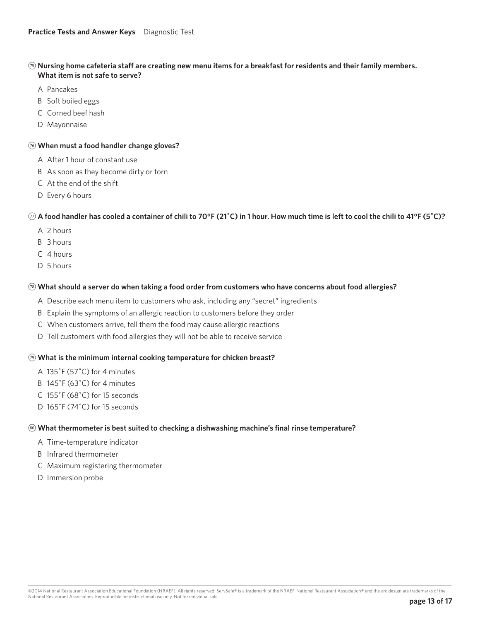## &5 **Nursing home cafeteria staff are creating new menu items for a breakfast for residents and their family members. What item is not safe to serve?**

- A Pancakes
- B Soft boiled eggs
- C Corned beef hash
- D Mayonnaise

## &6 **When must a food handler change gloves?**

- A After 1 hour of constant use
- B As soon as they become dirty or torn
- C At the end of the shift
- D Every 6 hours

## &7 **A food handler has cooled a container of chili to 70°F (21˚C) in 1 hour. How much time is left to cool the chili to 41°F (5˚C)?**

- A 2 hours
- B 3 hours
- C 4 hours
- D 5 hours

## &8 **What should a server do when taking a food order from customers who have concerns about food allergies?**

- A Describe each menu item to customers who ask, including any "secret" ingredients
- B Explain the symptoms of an allergic reaction to customers before they order
- C When customers arrive, tell them the food may cause allergic reactions
- D Tell customers with food allergies they will not be able to receive service

## &9 **What is the minimum internal cooking temperature for chicken breast?**

- A 135˚F (57˚C) for 4 minutes
- B 145˚F (63˚C) for 4 minutes
- C 155˚F (68˚C) for 15 seconds
- D 165˚F (74˚C) for 15 seconds

## $\circledast$  **What thermometer is best suited to checking a dishwashing machine's final rinse temperature?**

- A Time-temperature indicator
- B Infrared thermometer
- C Maximum registering thermometer
- D Immersion probe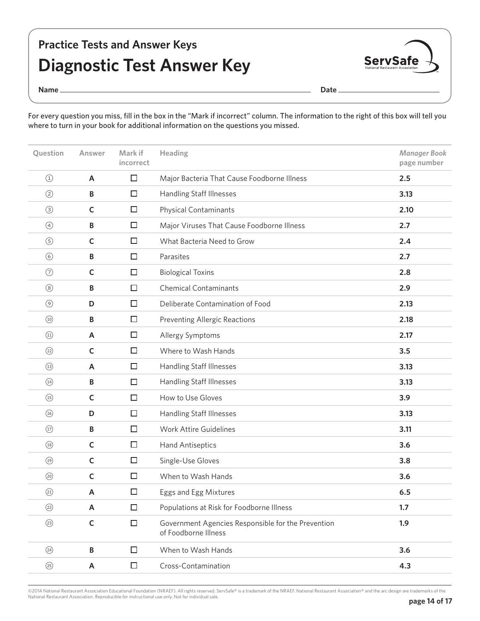## **Practice Tests and Answer Keys Diagnostic Test Answer Key**



**Name Date** 

For every question you miss, fill in the box in the "Mark if incorrect" column. The information to the right of this box will tell you where to turn in your book for additional information on the questions you missed.

| Question                                        | Answer       | Mark if<br>incorrect | Heading                                                                    | <b>Manager Book</b><br>page number |
|-------------------------------------------------|--------------|----------------------|----------------------------------------------------------------------------|------------------------------------|
| $\bigcirc$                                      | A            | $\Box$               | Major Bacteria That Cause Foodborne Illness                                | 2.5                                |
| $\circled{2}$                                   | $\, {\bf B}$ | □                    | <b>Handling Staff Illnesses</b>                                            | 3.13                               |
| $\circled{3}$                                   | $\mathsf{C}$ | $\Box$               | <b>Physical Contaminants</b>                                               | 2.10                               |
| $\circled{4}$                                   | B            | $\Box$               | Major Viruses That Cause Foodborne Illness                                 | 2.7                                |
| $\circledS$                                     | $\mathsf C$  | □                    | What Bacteria Need to Grow                                                 | 2.4                                |
| $\circledcirc$                                  | $\, {\bf B}$ | $\Box$               | Parasites                                                                  | 2.7                                |
| $\odot$                                         | $\mathsf{C}$ | $\Box$               | <b>Biological Toxins</b>                                                   | 2.8                                |
| $\circledS$                                     | B            | □                    | <b>Chemical Contaminants</b>                                               | 2.9                                |
| $\circledcirc$                                  | D            | $\Box$               | Deliberate Contamination of Food                                           | 2.13                               |
| $\circled{10}$                                  | B            | $\Box$               | <b>Preventing Allergic Reactions</b>                                       | 2.18                               |
| $\begin{array}{c} \textcircled{11} \end{array}$ | A            | □                    | Allergy Symptoms                                                           | 2.17                               |
| $\circled{12}$                                  | $\mathsf C$  | $\Box$               | Where to Wash Hands                                                        | 3.5                                |
| $\circled{13}$                                  | A            | $\Box$               | Handling Staff Illnesses                                                   | 3.13                               |
| $\circled{14}$                                  | $\, {\bf B}$ | □                    | Handling Staff Illnesses                                                   | 3.13                               |
| $\circled{15}$                                  | $\mathsf{C}$ | $\Box$               | How to Use Gloves                                                          | 3.9                                |
| $\circled{16}$                                  | D            | $\Box$               | Handling Staff Illnesses                                                   | 3.13                               |
| $\circled{1}$                                   | $\, {\bf B}$ | □                    | <b>Work Attire Guidelines</b>                                              | 3.11                               |
| $\begin{array}{c} \textcircled{18} \end{array}$ | $\mathsf C$  | $\Box$               | <b>Hand Antiseptics</b>                                                    | 3.6                                |
| $\circled{19}$                                  | $\mathsf{C}$ | $\Box$               | Single-Use Gloves                                                          | 3.8                                |
| $\circledcirc$                                  | $\mathsf{C}$ | $\Box$               | When to Wash Hands                                                         | 3.6                                |
| (2)                                             | A            | $\Box$               | Eggs and Egg Mixtures                                                      | 6.5                                |
| (22)                                            | A            | $\Box$               | Populations at Risk for Foodborne Illness                                  | 1.7                                |
| (23)                                            | $\mathsf C$  | $\Box$               | Government Agencies Responsible for the Prevention<br>of Foodborne Illness | 1.9                                |
| (24)                                            | B            | $\Box$               | When to Wash Hands                                                         | 3.6                                |
| (25)                                            | A            | $\Box$               | Cross-Contamination                                                        | 4.3                                |

©2014 National Restaurant Association Educational Foundation (NRAEF). All rights reserved. ServSafe® is a trademark of the NRAEF. National Restaurant Association® and the arc design are trademarks of the<br>National Restauran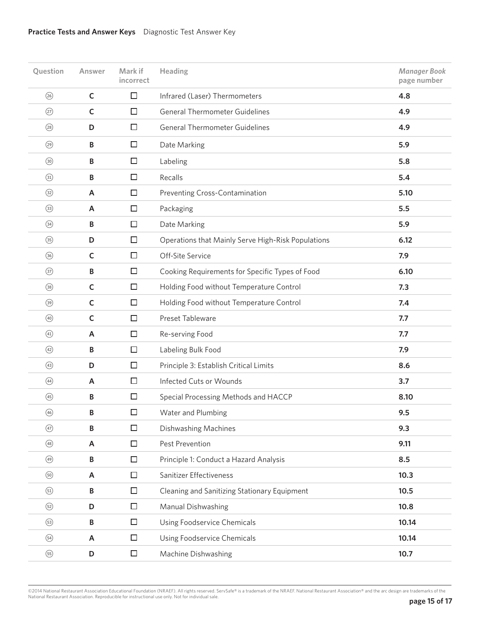## **Practice Tests and Answer Keys** Diagnostic Test Answer Key

| Question       | Answer       | Mark if<br>incorrect | Heading                                            | <b>Manager Book</b><br>page number |
|----------------|--------------|----------------------|----------------------------------------------------|------------------------------------|
| (26)           | $\mathsf{C}$ | $\Box$               | Infrared (Laser) Thermometers                      | 4.8                                |
| $\circled{2}$  | $\mathsf{C}$ | □                    | <b>General Thermometer Guidelines</b>              | 4.9                                |
| (28)           | D            | □                    | <b>General Thermometer Guidelines</b>              | 4.9                                |
| (29)           | B            | □                    | Date Marking                                       | 5.9                                |
| $\circledcirc$ | B            | □                    | Labeling                                           | 5.8                                |
| $\circled{3}$  | B            | $\Box$               | Recalls                                            | 5.4                                |
| $\circled{3}$  | A            | $\Box$               | Preventing Cross-Contamination                     | 5.10                               |
| $\circled{3}$  | A            | □                    | Packaging                                          | 5.5                                |
| $\circled{34}$ | B            | $\Box$               | Date Marking                                       | 5.9                                |
| $\circled{35}$ | D            | □                    | Operations that Mainly Serve High-Risk Populations | 6.12                               |
| $\circledS$    | $\mathsf C$  | $\Box$               | Off-Site Service                                   | 7.9                                |
| $\circled{3}$  | B            | □                    | Cooking Requirements for Specific Types of Food    | 6.10                               |
| (38)           | $\mathsf C$  | □                    | Holding Food without Temperature Control           | 7.3                                |
| $\circledS$    | $\mathsf C$  | $\Box$               | Holding Food without Temperature Control           | 7.4                                |
| $\circled{40}$ | $\mathsf C$  | $\Box$               | Preset Tableware                                   | 7.7                                |
| (41)           | A            | $\Box$               | Re-serving Food                                    | 7.7                                |
| (42)           | B            | $\Box$               | Labeling Bulk Food                                 | 7.9                                |
| (43)           | D            | □                    | Principle 3: Establish Critical Limits             | 8.6                                |
| $\bigcirc$     | A            | $\Box$               | Infected Cuts or Wounds                            | 3.7                                |
| (45)           | B            | □                    | Special Processing Methods and HACCP               | 8.10                               |
| (46)           | B            | $\Box$               | Water and Plumbing                                 | 9.5                                |
| $\circled{47}$ | B            | □                    | Dishwashing Machines                               | 9.3                                |
| $\circled{48}$ | A            | $\Box$               | Pest Prevention                                    | 9.11                               |
| $\circled{49}$ | B            | $\Box$               | Principle 1: Conduct a Hazard Analysis             | 8.5                                |
| $\circledcirc$ | A            | □                    | Sanitizer Effectiveness                            | 10.3                               |
| $\circled{51}$ | B            | $\Box$               | Cleaning and Sanitizing Stationary Equipment       | 10.5                               |
| $\circled{52}$ | D            | $\Box$               | Manual Dishwashing                                 | 10.8                               |
| $\circled{53}$ | B            | □                    | Using Foodservice Chemicals                        | 10.14                              |
| $\circled{54}$ | A            | $\Box$               | Using Foodservice Chemicals                        | 10.14                              |
| $\circled{55}$ | D            | $\Box$               | Machine Dishwashing                                | 10.7                               |

©2014 National Restaurant Association Educational Foundation (NRAEF). All rights reserved. ServSafe® is a trademark of the NRAEF. National Restaurant Association® and the arc design are trademarks of the<br>National Restauran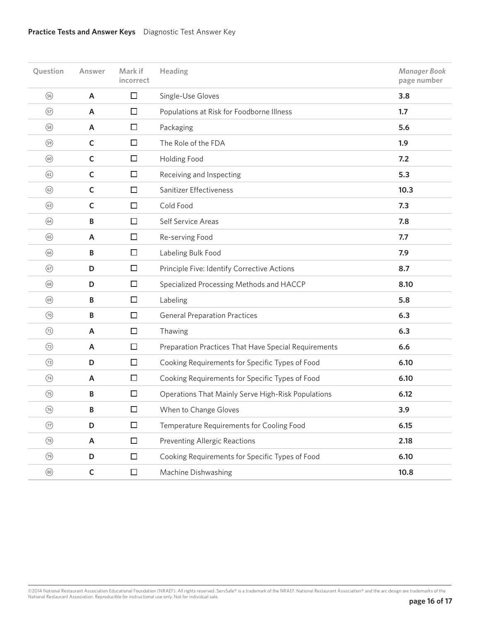## **Practice Tests and Answer Keys** Diagnostic Test Answer Key

| Question       | Answer       | Mark if<br>incorrect | Heading                                              | <b>Manager Book</b><br>page number |
|----------------|--------------|----------------------|------------------------------------------------------|------------------------------------|
| $\circledS$    | A            | $\Box$               | Single-Use Gloves                                    | 3.8                                |
| $\circled{5}$  | A            | □                    | Populations at Risk for Foodborne Illness            | 1.7                                |
| $\circled{s}$  | A            | □                    | Packaging                                            | 5.6                                |
| $\circledS$    | $\mathsf C$  | $\Box$               | The Role of the FDA                                  | 1.9                                |
| $\circledcirc$ | $\mathsf C$  | □                    | <b>Holding Food</b>                                  | 7.2                                |
| $\circled{61}$ | $\mathsf{C}$ | □                    | Receiving and Inspecting                             | 5.3                                |
| $\circled{62}$ | $\mathsf C$  | $\Box$               | Sanitizer Effectiveness                              | 10.3                               |
| $\circled{63}$ | $\mathsf C$  | □                    | Cold Food                                            | 7.3                                |
| $\circled{64}$ | B            | □                    | Self Service Areas                                   | 7.8                                |
| $\circled{s}$  | A            | $\Box$               | Re-serving Food                                      | 7.7                                |
| $\circled{6}$  | B            | □                    | Labeling Bulk Food                                   | 7.9                                |
| $\circled{67}$ | D            | □                    | Principle Five: Identify Corrective Actions          | 8.7                                |
| $\circled{s}$  | D            | $\Box$               | Specialized Processing Methods and HACCP             | 8.10                               |
| $\circledcirc$ | B            | □                    | Labeling                                             | 5.8                                |
| $\circledcirc$ | B            | □                    | <b>General Preparation Practices</b>                 | 6.3                                |
| $\circled{1}$  | A            | $\Box$               | Thawing                                              | 6.3                                |
| $\circled{2}$  | A            | $\Box$               | Preparation Practices That Have Special Requirements | 6.6                                |
| (73)           | D            | □                    | Cooking Requirements for Specific Types of Food      | 6.10                               |
| $\circled{1}$  | A            | $\Box$               | Cooking Requirements for Specific Types of Food      | 6.10                               |
| $\circled{5}$  | B            | $\Box$               | Operations That Mainly Serve High-Risk Populations   | 6.12                               |
| $\circled{6}$  | В            | $\Box$               | When to Change Gloves                                | 3.9                                |
| $\circled{7}$  | D            | $\Box$               | Temperature Requirements for Cooling Food            | 6.15                               |
| (78)           | A            | $\Box$               | <b>Preventing Allergic Reactions</b>                 | 2.18                               |
| $\circled{?}$  | D            | □                    | Cooking Requirements for Specific Types of Food      | 6.10                               |
| $\circledS$    | $\mathsf C$  | $\Box$               | Machine Dishwashing                                  | 10.8                               |

©2014 National Restaurant Association Educational Foundation (NRAEF). All rights reserved. ServSafe® is a trademark of the NRAEF. National Restaurant Association® and the arc design are trademarks of the<br>National Restauran